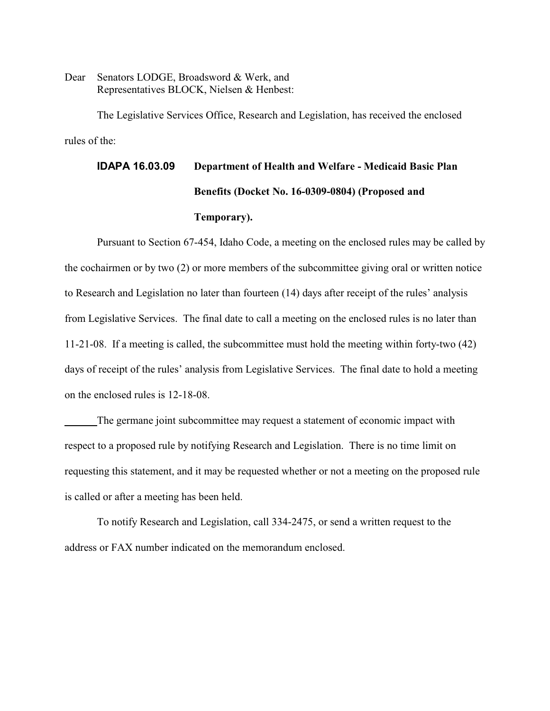Dear Senators LODGE, Broadsword & Werk, and Representatives BLOCK, Nielsen & Henbest:

The Legislative Services Office, Research and Legislation, has received the enclosed rules of the:

# **IDAPA 16.03.09 Department of Health and Welfare - Medicaid Basic Plan Benefits (Docket No. 16-0309-0804) (Proposed and Temporary).**

 Pursuant to Section 67-454, Idaho Code, a meeting on the enclosed rules may be called by the cochairmen or by two (2) or more members of the subcommittee giving oral or written notice to Research and Legislation no later than fourteen (14) days after receipt of the rules' analysis from Legislative Services. The final date to call a meeting on the enclosed rules is no later than 11-21-08. If a meeting is called, the subcommittee must hold the meeting within forty-two (42) days of receipt of the rules' analysis from Legislative Services. The final date to hold a meeting on the enclosed rules is 12-18-08.

The germane joint subcommittee may request a statement of economic impact with respect to a proposed rule by notifying Research and Legislation. There is no time limit on requesting this statement, and it may be requested whether or not a meeting on the proposed rule is called or after a meeting has been held.

To notify Research and Legislation, call 334-2475, or send a written request to the address or FAX number indicated on the memorandum enclosed.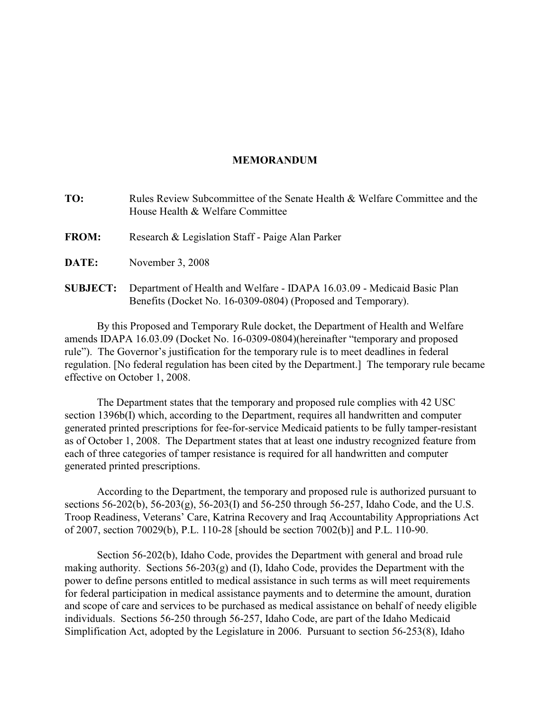### **MEMORANDUM**

| TO:             | Rules Review Subcommittee of the Senate Health & Welfare Committee and the<br>House Health & Welfare Committee                          |
|-----------------|-----------------------------------------------------------------------------------------------------------------------------------------|
| <b>FROM:</b>    | Research & Legislation Staff - Paige Alan Parker                                                                                        |
| DATE:           | November 3, 2008                                                                                                                        |
| <b>SUBJECT:</b> | Department of Health and Welfare - IDAPA 16.03.09 - Medicaid Basic Plan<br>Benefits (Docket No. 16-0309-0804) (Proposed and Temporary). |

By this Proposed and Temporary Rule docket, the Department of Health and Welfare amends IDAPA 16.03.09 (Docket No. 16-0309-0804)(hereinafter "temporary and proposed rule"). The Governor's justification for the temporary rule is to meet deadlines in federal regulation. [No federal regulation has been cited by the Department.] The temporary rule became effective on October 1, 2008.

The Department states that the temporary and proposed rule complies with 42 USC section 1396b(I) which, according to the Department, requires all handwritten and computer generated printed prescriptions for fee-for-service Medicaid patients to be fully tamper-resistant as of October 1, 2008. The Department states that at least one industry recognized feature from each of three categories of tamper resistance is required for all handwritten and computer generated printed prescriptions.

According to the Department, the temporary and proposed rule is authorized pursuant to sections 56-202(b), 56-203(g), 56-203(I) and 56-250 through 56-257, Idaho Code, and the U.S. Troop Readiness, Veterans' Care, Katrina Recovery and Iraq Accountability Appropriations Act of 2007, section 70029(b), P.L. 110-28 [should be section 7002(b)] and P.L. 110-90.

Section 56-202(b), Idaho Code, provides the Department with general and broad rule making authority. Sections 56-203(g) and (I), Idaho Code, provides the Department with the power to define persons entitled to medical assistance in such terms as will meet requirements for federal participation in medical assistance payments and to determine the amount, duration and scope of care and services to be purchased as medical assistance on behalf of needy eligible individuals. Sections 56-250 through 56-257, Idaho Code, are part of the Idaho Medicaid Simplification Act, adopted by the Legislature in 2006. Pursuant to section 56-253(8), Idaho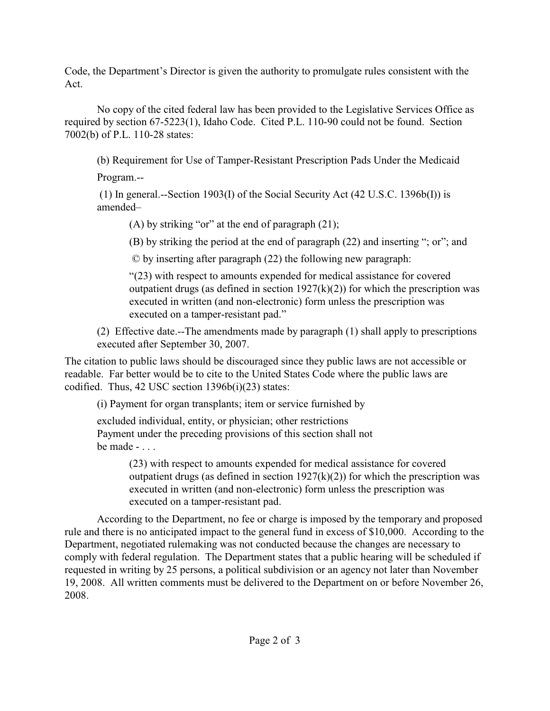Code, the Department's Director is given the authority to promulgate rules consistent with the Act.

No copy of the cited federal law has been provided to the Legislative Services Office as required by section 67-5223(1), Idaho Code. Cited P.L. 110-90 could not be found. Section 7002(b) of P.L. 110-28 states:

(b) Requirement for Use of Tamper-Resistant Prescription Pads Under the Medicaid

Program.--

 (1) In general.--Section 1903(I) of the Social Security Act (42 U.S.C. 1396b(I)) is amended–

(A) by striking "or" at the end of paragraph  $(21)$ ;

(B) by striking the period at the end of paragraph (22) and inserting "; or"; and

© by inserting after paragraph (22) the following new paragraph:

"(23) with respect to amounts expended for medical assistance for covered outpatient drugs (as defined in section  $1927(k)(2)$ ) for which the prescription was executed in written (and non-electronic) form unless the prescription was executed on a tamper-resistant pad."

(2) Effective date.--The amendments made by paragraph (1) shall apply to prescriptions executed after September 30, 2007.

The citation to public laws should be discouraged since they public laws are not accessible or readable. Far better would be to cite to the United States Code where the public laws are codified. Thus, 42 USC section 1396b(i)(23) states:

(i) Payment for organ transplants; item or service furnished by

excluded individual, entity, or physician; other restrictions Payment under the preceding provisions of this section shall not be made - . . .

> (23) with respect to amounts expended for medical assistance for covered outpatient drugs (as defined in section  $1927(k)(2)$ ) for which the prescription was executed in written (and non-electronic) form unless the prescription was executed on a tamper-resistant pad.

According to the Department, no fee or charge is imposed by the temporary and proposed rule and there is no anticipated impact to the general fund in excess of \$10,000. According to the Department, negotiated rulemaking was not conducted because the changes are necessary to comply with federal regulation. The Department states that a public hearing will be scheduled if requested in writing by 25 persons, a political subdivision or an agency not later than November 19, 2008. All written comments must be delivered to the Department on or before November 26, 2008.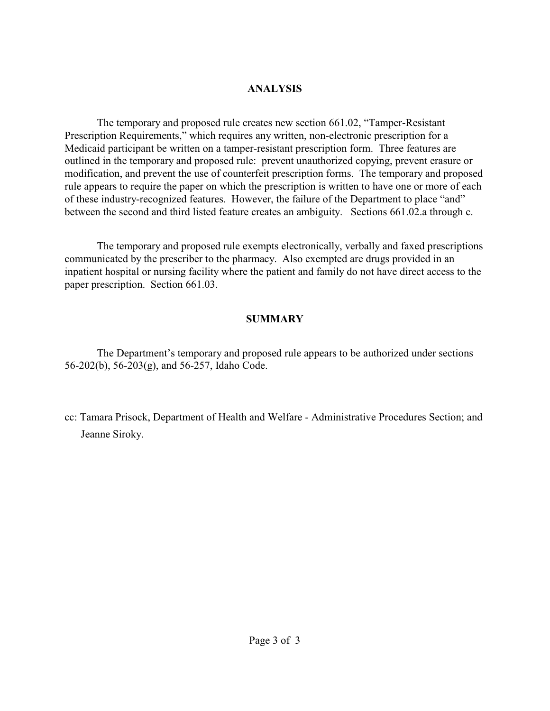# **ANALYSIS**

The temporary and proposed rule creates new section 661.02, "Tamper-Resistant Prescription Requirements," which requires any written, non-electronic prescription for a Medicaid participant be written on a tamper-resistant prescription form. Three features are outlined in the temporary and proposed rule: prevent unauthorized copying, prevent erasure or modification, and prevent the use of counterfeit prescription forms. The temporary and proposed rule appears to require the paper on which the prescription is written to have one or more of each of these industry-recognized features. However, the failure of the Department to place "and" between the second and third listed feature creates an ambiguity. Sections 661.02.a through c.

The temporary and proposed rule exempts electronically, verbally and faxed prescriptions communicated by the prescriber to the pharmacy. Also exempted are drugs provided in an inpatient hospital or nursing facility where the patient and family do not have direct access to the paper prescription. Section 661.03.

# **SUMMARY**

The Department's temporary and proposed rule appears to be authorized under sections 56-202(b), 56-203(g), and 56-257, Idaho Code.

cc: Tamara Prisock, Department of Health and Welfare - Administrative Procedures Section; and Jeanne Siroky.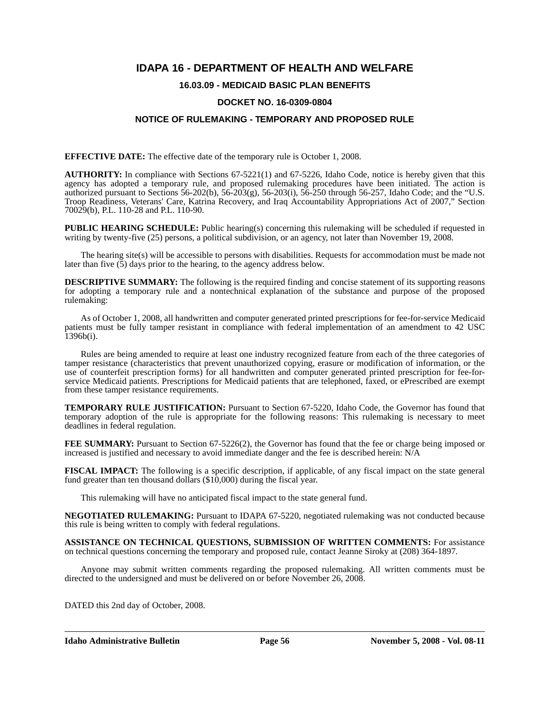# **IDAPA 16 - DEPARTMENT OF HEALTH AND WELFARE**

## **16.03.09 - MEDICAID BASIC PLAN BENEFITS**

#### **DOCKET NO. 16-0309-0804**

### **NOTICE OF RULEMAKING - TEMPORARY AND PROPOSED RULE**

**EFFECTIVE DATE:** The effective date of the temporary rule is October 1, 2008.

**AUTHORITY:** In compliance with Sections 67-5221(1) and 67-5226, Idaho Code, notice is hereby given that this agency has adopted a temporary rule, and proposed rulemaking procedures have been initiated. The action is authorized pursuant to Sections 56-202(b), 56-203(g), 56-203(i), 56-250 through 56-257, Idaho Code; and the "U.S. Troop Readiness, Veterans' Care, Katrina Recovery, and Iraq Accountability Appropriations Act of 2007," Section 70029(b), P.L. 110-28 and P.L. 110-90.

**PUBLIC HEARING SCHEDULE:** Public hearing(s) concerning this rulemaking will be scheduled if requested in writing by twenty-five (25) persons, a political subdivision, or an agency, not later than November 19, 2008.

The hearing site(s) will be accessible to persons with disabilities. Requests for accommodation must be made not later than five (5) days prior to the hearing, to the agency address below.

**DESCRIPTIVE SUMMARY:** The following is the required finding and concise statement of its supporting reasons for adopting a temporary rule and a nontechnical explanation of the substance and purpose of the proposed rulemaking:

As of October 1, 2008, all handwritten and computer generated printed prescriptions for fee-for-service Medicaid patients must be fully tamper resistant in compliance with federal implementation of an amendment to 42 USC 1396b(i).

Rules are being amended to require at least one industry recognized feature from each of the three categories of tamper resistance (characteristics that prevent unauthorized copying, erasure or modification of information, or the use of counterfeit prescription forms) for all handwritten and computer generated printed prescription for fee-forservice Medicaid patients. Prescriptions for Medicaid patients that are telephoned, faxed, or ePrescribed are exempt from these tamper resistance requirements.

**TEMPORARY RULE JUSTIFICATION:** Pursuant to Section 67-5220, Idaho Code, the Governor has found that temporary adoption of the rule is appropriate for the following reasons: This rulemaking is necessary to meet deadlines in federal regulation.

**FEE SUMMARY:** Pursuant to Section 67-5226(2), the Governor has found that the fee or charge being imposed or increased is justified and necessary to avoid immediate danger and the fee is described herein: N/A

**FISCAL IMPACT:** The following is a specific description, if applicable, of any fiscal impact on the state general fund greater than ten thousand dollars (\$10,000) during the fiscal year.

This rulemaking will have no anticipated fiscal impact to the state general fund.

**NEGOTIATED RULEMAKING:** Pursuant to IDAPA 67-5220, negotiated rulemaking was not conducted because this rule is being written to comply with federal regulations.

**ASSISTANCE ON TECHNICAL QUESTIONS, SUBMISSION OF WRITTEN COMMENTS:** For assistance on technical questions concerning the temporary and proposed rule, contact Jeanne Siroky at (208) 364-1897*.*

Anyone may submit written comments regarding the proposed rulemaking. All written comments must be directed to the undersigned and must be delivered on or before November 26, 2008.

DATED this 2nd day of October, 2008.